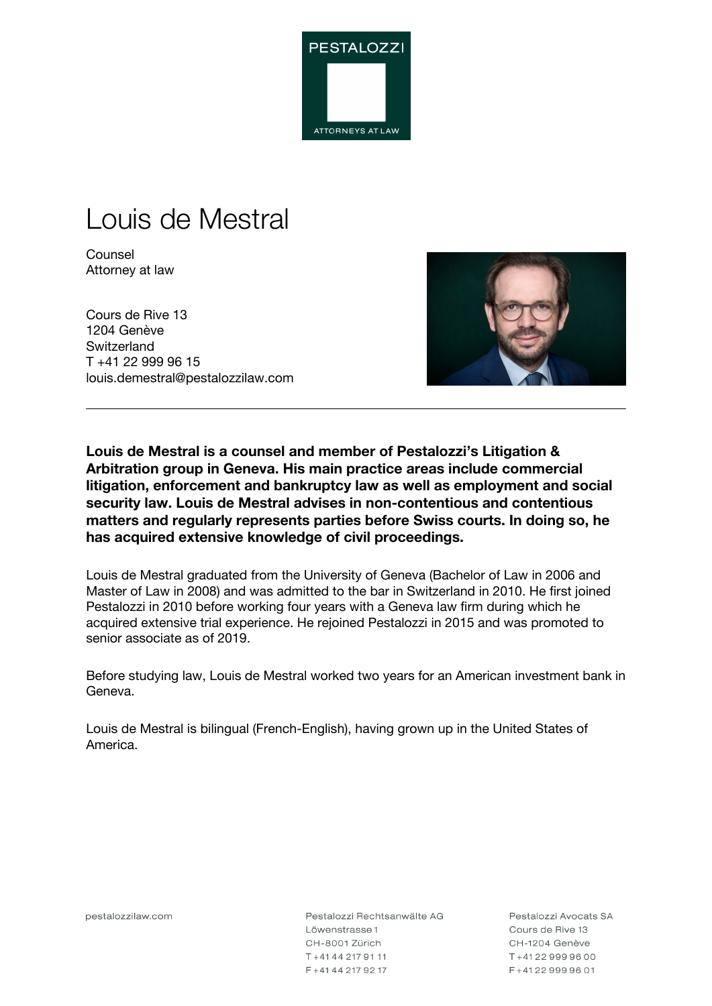

# Louis de Mestral

**Counsel** Attorney at law

Cours de Rive 13 1204 Genève **Switzerland** T +41 22 999 96 15 louis.demestral@pestalozzilaw.com



**Louis de Mestral is a counsel and member of Pestalozzi's Litigation & Arbitration group in Geneva. His main practice areas include commercial litigation, enforcement and bankruptcy law as well as employment and social security law. Louis de Mestral advises in non-contentious and contentious matters and regularly represents parties before Swiss courts. In doing so, he has acquired extensive knowledge of civil proceedings.**

Louis de Mestral graduated from the University of Geneva (Bachelor of Law in 2006 and Master of Law in 2008) and was admitted to the bar in Switzerland in 2010. He first joined Pestalozzi in 2010 before working four years with a Geneva law firm during which he acquired extensive trial experience. He rejoined Pestalozzi in 2015 and was promoted to senior associate as of 2019.

Before studying law, Louis de Mestral worked two years for an American investment bank in Geneva.

Louis de Mestral is bilingual (French-English), having grown up in the United States of America.

pestalozzilaw.com

Pestalozzi Rechtsanwälte AG Löwenstrasse 1 CH-8001 Zürich T+41442179111 F+41442179217

Pestalozzi Avocats SA Cours de Rive 13 CH-1204 Genève T+41229999600 F+41229999601